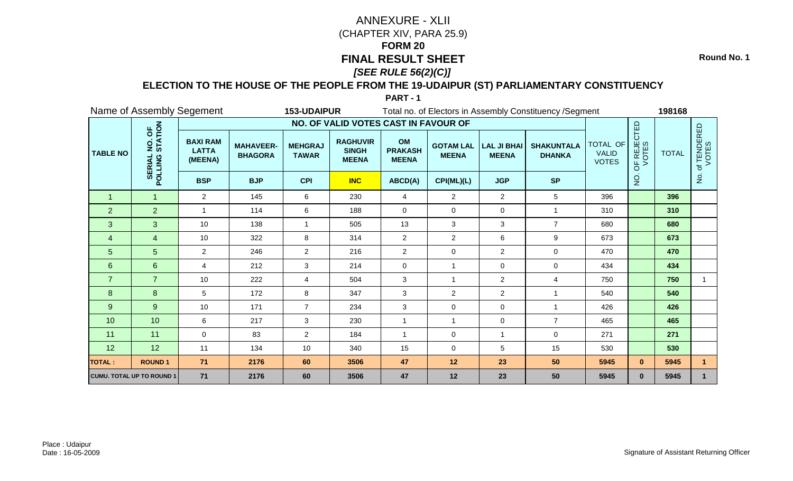**Round No. 1**

### **ELECTION TO THE HOUSE OF THE PEOPLE FROM THE 19-UDAIPUR (ST) PARLIAMENTARY CONSTITUENCY**

|                 | Name of Assembly Segement                                           |                                            |                                    | 153-UDAIPUR                    |                                                 |                                      |                                  |                                    | Total no. of Electors in Assembly Constituency / Segment |                                          |                      | 198168       |                     |
|-----------------|---------------------------------------------------------------------|--------------------------------------------|------------------------------------|--------------------------------|-------------------------------------------------|--------------------------------------|----------------------------------|------------------------------------|----------------------------------------------------------|------------------------------------------|----------------------|--------------|---------------------|
|                 |                                                                     |                                            |                                    |                                | NO. OF VALID VOTES CAST IN FAVOUR OF            |                                      |                                  |                                    |                                                          |                                          |                      |              |                     |
| <b>TABLE NO</b> | NO. OF<br>STATION<br>$\dot{\mathbf{o}}$<br><b>SERIAL</b><br>POLLING | <b>BAXI RAM</b><br><b>LATTA</b><br>(MEENA) | <b>MAHAVEER-</b><br><b>BHAGORA</b> | <b>MEHGRAJ</b><br><b>TAWAR</b> | <b>RAGHUVIR</b><br><b>SINGH</b><br><b>MEENA</b> | OM<br><b>PRAKASH</b><br><b>MEENA</b> | <b>GOTAM LAL</b><br><b>MEENA</b> | <b>LAL JI BHAI</b><br><b>MEENA</b> | <b>SHAKUNTALA</b><br><b>DHANKA</b>                       | TOTAL OF<br><b>VALID</b><br><b>VOTES</b> | OF REJECTED<br>VOTES | <b>TOTAL</b> | f TENDERED<br>VOTES |
|                 |                                                                     | <b>BSP</b>                                 | <b>BJP</b>                         | <b>CPI</b>                     | <b>INC</b>                                      | ABCD(A)                              | CPI(ML)(L)                       | <b>JGP</b>                         | <b>SP</b>                                                |                                          | $\frac{1}{2}$        |              | $\frac{1}{2}$       |
| 1               | -1                                                                  | 2                                          | 145                                | 6                              | 230                                             | 4                                    | 2                                | $\overline{2}$                     | 5                                                        | 396                                      |                      | 396          |                     |
| $\overline{2}$  | $\overline{2}$                                                      | $\overline{\mathbf{1}}$                    | 114                                | 6                              | 188                                             | $\mathbf 0$                          | $\mathbf 0$                      | 0                                  | $\overline{1}$                                           | 310                                      |                      | 310          |                     |
| 3               | 3                                                                   | 10                                         | 138                                | $\mathbf{1}$                   | 505                                             | 13                                   | $\mathbf{3}$                     | 3                                  | $\overline{7}$                                           | 680                                      |                      | 680          |                     |
| $\overline{4}$  | $\overline{4}$                                                      | 10                                         | 322                                | 8                              | 314                                             | $\overline{2}$                       | $\overline{2}$                   | 6                                  | $\boldsymbol{9}$                                         | 673                                      |                      | 673          |                     |
| 5               | 5                                                                   | $\overline{2}$                             | 246                                | $\overline{2}$                 | 216                                             | $\overline{2}$                       | $\mathbf 0$                      | $\overline{a}$                     | $\mathbf 0$                                              | 470                                      |                      | 470          |                     |
| $6\phantom{1}$  | $6\phantom{1}$                                                      | 4                                          | 212                                | 3                              | 214                                             | $\mathbf 0$                          |                                  | 0                                  | $\mathbf 0$                                              | 434                                      |                      | 434          |                     |
| $\overline{7}$  | $\overline{7}$                                                      | 10                                         | 222                                | 4                              | 504                                             | 3                                    | $\overline{1}$                   | $\overline{2}$                     | $\overline{4}$                                           | 750                                      |                      | 750          | 1                   |
| 8               | 8                                                                   | 5                                          | 172                                | 8                              | 347                                             | 3                                    | $\overline{2}$                   | $\overline{2}$                     | -1                                                       | 540                                      |                      | 540          |                     |
| 9               | 9                                                                   | 10                                         | 171                                | $\overline{7}$                 | 234                                             | 3                                    | $\mathbf 0$                      | 0                                  | $\overline{1}$                                           | 426                                      |                      | 426          |                     |
| 10              | 10                                                                  | 6                                          | 217                                | 3                              | 230                                             | $\mathbf{1}$                         | $\overline{1}$                   | $\mathbf 0$                        | $\overline{7}$                                           | 465                                      |                      | 465          |                     |
| 11              | 11                                                                  | $\mathbf 0$                                | 83                                 | $\overline{c}$                 | 184                                             | $\mathbf 1$                          | $\mathbf 0$                      | $\mathbf{1}$                       | $\pmb{0}$                                                | 271                                      |                      | 271          |                     |
| 12              | 12                                                                  | 11                                         | 134                                | 10                             | 340                                             | 15                                   | 0                                | 5                                  | 15                                                       | 530                                      |                      | 530          |                     |
| <b>TOTAL:</b>   | <b>ROUND1</b>                                                       | 71                                         | 2176                               | 60                             | 3506                                            | 47                                   | 12                               | 23                                 | 50                                                       | 5945                                     | $\mathbf{0}$         | 5945         |                     |
|                 | <b>CUMU. TOTAL UP TO ROUND 1</b>                                    | 71                                         | 2176                               | 60                             | 3506                                            | 47                                   | 12                               | 23                                 | 50                                                       | 5945                                     | $\mathbf{0}$         | 5945         |                     |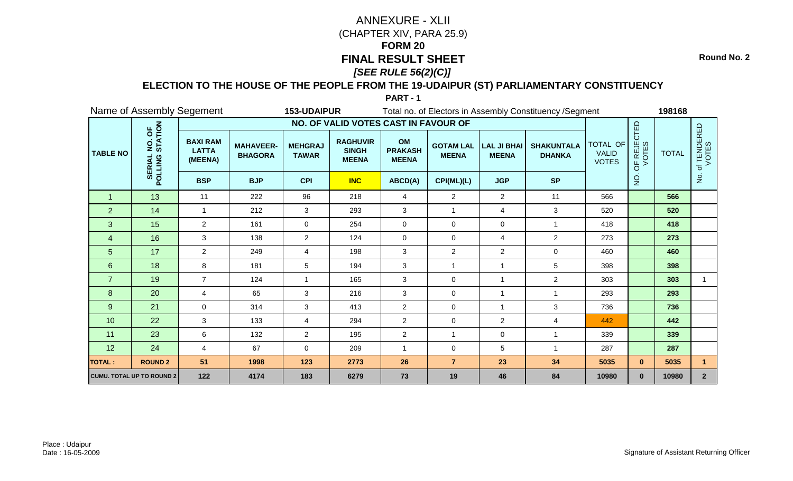**Round No. 2**

### **ELECTION TO THE HOUSE OF THE PEOPLE FROM THE 19-UDAIPUR (ST) PARLIAMENTARY CONSTITUENCY**

|                 | Name of Assembly Segement                     |                                            |                                    | 153-UDAIPUR                    |                                                 |                                      |                                  |                                    | Total no. of Electors in Assembly Constituency / Segment |                                          |                      | 198168       |                          |
|-----------------|-----------------------------------------------|--------------------------------------------|------------------------------------|--------------------------------|-------------------------------------------------|--------------------------------------|----------------------------------|------------------------------------|----------------------------------------------------------|------------------------------------------|----------------------|--------------|--------------------------|
|                 |                                               |                                            |                                    |                                | NO. OF VALID VOTES CAST IN FAVOUR OF            |                                      |                                  |                                    |                                                          |                                          |                      |              |                          |
| <b>TABLE NO</b> | NO. OF<br>STATION<br><b>SERIAL</b><br>POLLING | <b>BAXI RAM</b><br><b>LATTA</b><br>(MEENA) | <b>MAHAVEER-</b><br><b>BHAGORA</b> | <b>MEHGRAJ</b><br><b>TAWAR</b> | <b>RAGHUVIR</b><br><b>SINGH</b><br><b>MEENA</b> | OM<br><b>PRAKASH</b><br><b>MEENA</b> | <b>GOTAM LAL</b><br><b>MEENA</b> | <b>LAL JI BHAI</b><br><b>MEENA</b> | <b>SHAKUNTALA</b><br><b>DHANKA</b>                       | TOTAL OF<br><b>VALID</b><br><b>VOTES</b> | OF REJECTED<br>VOTES | <b>TOTAL</b> | f TENDERED<br>VOTES<br>đ |
|                 |                                               | <b>BSP</b>                                 | <b>BJP</b>                         | <b>CPI</b>                     | <b>INC</b>                                      | ABCD(A)                              | CPI(ML)(L)                       | <b>JGP</b>                         | <b>SP</b>                                                |                                          | o<br>Z               |              | $\frac{5}{2}$            |
| $\overline{1}$  | 13                                            | 11                                         | 222                                | 96                             | 218                                             | $\overline{4}$                       | $\overline{2}$                   | $\overline{2}$                     | 11                                                       | 566                                      |                      | 566          |                          |
| $\overline{2}$  | 14                                            | 1                                          | 212                                | 3                              | 293                                             | 3                                    | 1                                | 4                                  | 3                                                        | 520                                      |                      | 520          |                          |
| 3               | 15                                            | $\overline{2}$                             | 161                                | 0                              | 254                                             | $\mathbf 0$                          | 0                                | $\mathbf 0$                        | $\overline{1}$                                           | 418                                      |                      | 418          |                          |
| $\overline{4}$  | 16                                            | 3                                          | 138                                | $\overline{2}$                 | 124                                             | $\mathbf 0$                          | 0                                | 4                                  | $\overline{2}$                                           | 273                                      |                      | 273          |                          |
| 5               | 17                                            | $\overline{2}$                             | 249                                | 4                              | 198                                             | 3                                    | $\overline{2}$                   | $\overline{2}$                     | $\mathbf 0$                                              | 460                                      |                      | 460          |                          |
| $6\phantom{1}$  | 18                                            | 8                                          | 181                                | 5                              | 194                                             | 3                                    | $\mathbf{1}$                     |                                    | 5                                                        | 398                                      |                      | 398          |                          |
| $\overline{7}$  | 19                                            | $\overline{7}$                             | 124                                | $\mathbf{1}$                   | 165                                             | 3                                    | 0                                | $\overline{\mathbf{1}}$            | $\overline{2}$                                           | 303                                      |                      | 303          |                          |
| 8               | 20                                            | 4                                          | 65                                 | 3                              | 216                                             | 3                                    | 0                                | -1                                 |                                                          | 293                                      |                      | 293          |                          |
| 9               | 21                                            | $\Omega$                                   | 314                                | 3                              | 413                                             | $\overline{2}$                       | 0                                | -1                                 | 3                                                        | 736                                      |                      | 736          |                          |
| 10              | 22                                            | 3                                          | 133                                | 4                              | 294                                             | $\overline{2}$                       | 0                                | $\overline{2}$                     | 4                                                        | 442                                      |                      | 442          |                          |
| 11              | 23                                            | $\,6\,$                                    | 132                                | $\overline{2}$                 | 195                                             | $\overline{2}$                       | $\mathbf{1}$                     | 0                                  | $\overline{1}$                                           | 339                                      |                      | 339          |                          |
| 12              | 24                                            | 4                                          | 67                                 | 0                              | 209                                             | -1                                   | 0                                | 5                                  |                                                          | 287                                      |                      | 287          |                          |
| <b>TOTAL:</b>   | <b>ROUND 2</b>                                | 51                                         | 1998                               | 123                            | 2773                                            | 26                                   | $\overline{7}$                   | 23                                 | 34                                                       | 5035                                     | $\mathbf{0}$         | 5035         | 1                        |
|                 | <b>CUMU. TOTAL UP TO ROUND 2</b>              | 122                                        | 4174                               | 183                            | 6279                                            | 73                                   | 19                               | 46                                 | 84                                                       | 10980                                    | $\mathbf{0}$         | 10980        | 2 <sup>2</sup>           |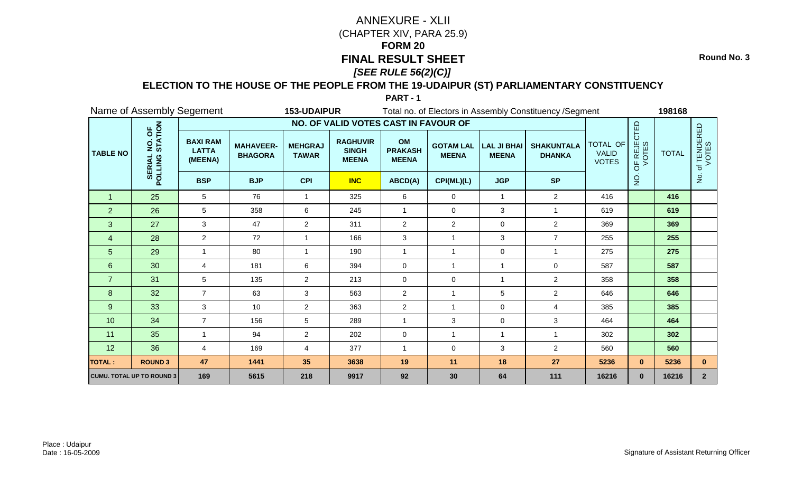**Round No. 3**

### **ELECTION TO THE HOUSE OF THE PEOPLE FROM THE 19-UDAIPUR (ST) PARLIAMENTARY CONSTITUENCY**

|                 |                                               | Name of Assembly Segement                  |                                    | 153-UDAIPUR                    |                                                 |                                      |                                  |                                    | Total no. of Electors in Assembly Constituency / Segment |                                          |                      | 198168       |                          |
|-----------------|-----------------------------------------------|--------------------------------------------|------------------------------------|--------------------------------|-------------------------------------------------|--------------------------------------|----------------------------------|------------------------------------|----------------------------------------------------------|------------------------------------------|----------------------|--------------|--------------------------|
|                 |                                               |                                            |                                    |                                | NO. OF VALID VOTES CAST IN FAVOUR OF            |                                      |                                  |                                    |                                                          |                                          |                      |              |                          |
| <b>TABLE NO</b> | NO. OF<br>STATION<br><b>SERIAL</b><br>POLLING | <b>BAXI RAM</b><br><b>LATTA</b><br>(MEENA) | <b>MAHAVEER-</b><br><b>BHAGORA</b> | <b>MEHGRAJ</b><br><b>TAWAR</b> | <b>RAGHUVIR</b><br><b>SINGH</b><br><b>MEENA</b> | OM<br><b>PRAKASH</b><br><b>MEENA</b> | <b>GOTAM LAL</b><br><b>MEENA</b> | <b>LAL JI BHAI</b><br><b>MEENA</b> | <b>SHAKUNTALA</b><br><b>DHANKA</b>                       | TOTAL OF<br><b>VALID</b><br><b>VOTES</b> | OF REJECTED<br>VOTES | <b>TOTAL</b> | f TENDERED<br>VOTES<br>đ |
|                 |                                               | <b>BSP</b>                                 | <b>BJP</b>                         | <b>CPI</b>                     | <b>INC</b>                                      | ABCD(A)                              | CPI(ML)(L)                       | <b>JGP</b>                         | <b>SP</b>                                                |                                          | o<br>Z               |              | $\frac{1}{2}$            |
| $\overline{1}$  | 25                                            | 5                                          | 76                                 | 1                              | 325                                             | 6                                    | 0                                | $\mathbf 1$                        | $\overline{2}$                                           | 416                                      |                      | 416          |                          |
| $\overline{2}$  | 26                                            | 5                                          | 358                                | 6                              | 245                                             | $\overline{1}$                       | 0                                | 3                                  | $\overline{1}$                                           | 619                                      |                      | 619          |                          |
| 3               | 27                                            | 3                                          | 47                                 | $\overline{2}$                 | 311                                             | $\overline{2}$                       | $\overline{c}$                   | $\mathbf 0$                        | $\overline{2}$                                           | 369                                      |                      | 369          |                          |
| $\overline{4}$  | 28                                            | $\overline{2}$                             | 72                                 | 1                              | 166                                             | $\mathbf{3}$                         | -1                               | 3                                  | $\overline{7}$                                           | 255                                      |                      | 255          |                          |
| 5               | 29                                            |                                            | 80                                 | 1                              | 190                                             | $\overline{1}$                       | $\mathbf{1}$                     | $\mathbf 0$                        | $\overline{1}$                                           | 275                                      |                      | 275          |                          |
| $6\phantom{1}$  | 30                                            | 4                                          | 181                                | 6                              | 394                                             | $\mathbf 0$                          | 1                                | 1                                  | $\mathbf 0$                                              | 587                                      |                      | 587          |                          |
| $\overline{7}$  | 31                                            | 5                                          | 135                                | $\overline{2}$                 | 213                                             | $\mathbf 0$                          | $\Omega$                         | 1                                  | $\overline{2}$                                           | 358                                      |                      | 358          |                          |
| 8               | 32                                            | $\overline{7}$                             | 63                                 | 3                              | 563                                             | $\overline{c}$                       | 1                                | 5                                  | $\overline{2}$                                           | 646                                      |                      | 646          |                          |
| 9               | 33                                            | 3                                          | 10                                 | $\overline{2}$                 | 363                                             | $\overline{2}$                       | $\mathbf{1}$                     | $\mathbf 0$                        | $\overline{4}$                                           | 385                                      |                      | 385          |                          |
| 10              | 34                                            | $\overline{7}$                             | 156                                | 5                              | 289                                             | $\overline{1}$                       | 3                                | $\mathbf 0$                        | 3                                                        | 464                                      |                      | 464          |                          |
| 11              | 35                                            |                                            | 94                                 | $\overline{2}$                 | 202                                             | $\mathbf 0$                          | $\mathbf{1}$                     | $\overline{1}$                     |                                                          | 302                                      |                      | 302          |                          |
| 12              | 36                                            | 4                                          | 169                                | 4                              | 377                                             | $\overline{1}$                       | 0                                | 3                                  | $\overline{2}$                                           | 560                                      |                      | 560          |                          |
| <b>TOTAL:</b>   | <b>ROUND 3</b>                                | 47                                         | 1441                               | 35                             | 3638                                            | 19                                   | 11                               | 18                                 | 27                                                       | 5236                                     | $\mathbf{0}$         | 5236         | $\mathbf{0}$             |
|                 | <b>CUMU. TOTAL UP TO ROUND 3</b>              | 169                                        | 5615                               | 218                            | 9917                                            | 92                                   | 30                               | 64                                 | 111                                                      | 16216                                    | $\mathbf{0}$         | 16216        | 2 <sup>2</sup>           |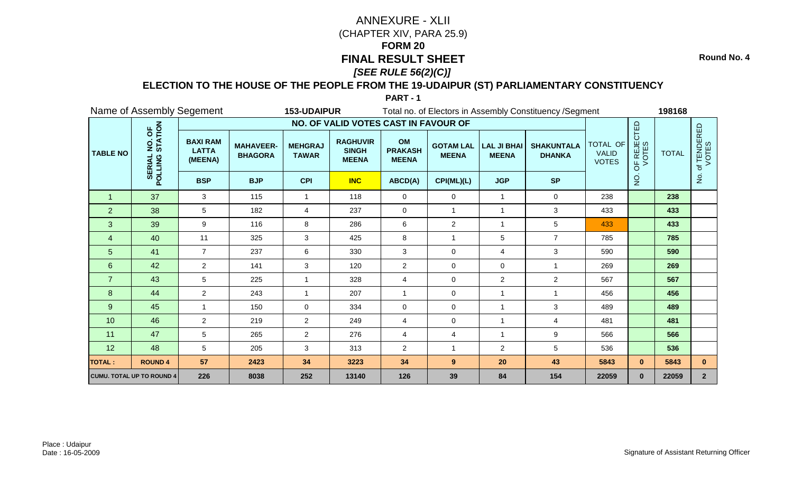**Round No. 4**

### **ELECTION TO THE HOUSE OF THE PEOPLE FROM THE 19-UDAIPUR (ST) PARLIAMENTARY CONSTITUENCY**

|                 | Name of Assembly Segement                     |                                            |                                    | 153-UDAIPUR                    |                                                 |                                      |                                  |                                    | Total no. of Electors in Assembly Constituency / Segment |                                          |                      | 198168       |                     |
|-----------------|-----------------------------------------------|--------------------------------------------|------------------------------------|--------------------------------|-------------------------------------------------|--------------------------------------|----------------------------------|------------------------------------|----------------------------------------------------------|------------------------------------------|----------------------|--------------|---------------------|
|                 |                                               |                                            |                                    |                                | NO. OF VALID VOTES CAST IN FAVOUR OF            |                                      |                                  |                                    |                                                          |                                          |                      |              |                     |
| <b>TABLE NO</b> | NO. OF<br>STATION<br><b>SERIAL</b><br>POLLING | <b>BAXI RAM</b><br><b>LATTA</b><br>(MEENA) | <b>MAHAVEER-</b><br><b>BHAGORA</b> | <b>MEHGRAJ</b><br><b>TAWAR</b> | <b>RAGHUVIR</b><br><b>SINGH</b><br><b>MEENA</b> | OM<br><b>PRAKASH</b><br><b>MEENA</b> | <b>GOTAM LAL</b><br><b>MEENA</b> | <b>LAL JI BHAI</b><br><b>MEENA</b> | <b>SHAKUNTALA</b><br><b>DHANKA</b>                       | TOTAL OF<br><b>VALID</b><br><b>VOTES</b> | OF REJECTED<br>VOTES | <b>TOTAL</b> | f TENDERED<br>VOTES |
|                 |                                               | <b>BSP</b>                                 | <b>BJP</b>                         | <b>CPI</b>                     | <b>INC</b>                                      | ABCD(A)                              | CPI(ML)(L)                       | <b>JGP</b>                         | <b>SP</b>                                                |                                          | $\frac{1}{2}$        |              | $\frac{1}{2}$       |
| $\mathbf{1}$    | 37                                            | 3                                          | 115                                |                                | 118                                             | $\mathbf 0$                          | $\mathbf 0$                      | 1                                  | $\mathbf 0$                                              | 238                                      |                      | 238          |                     |
| $\overline{2}$  | 38                                            | 5                                          | 182                                | 4                              | 237                                             | $\mathbf 0$                          | $\mathbf 1$                      | 1                                  | 3                                                        | 433                                      |                      | 433          |                     |
| 3               | 39                                            | 9                                          | 116                                | 8                              | 286                                             | $\,6\,$                              | $\overline{c}$                   | $\mathbf{1}$                       | 5                                                        | 433                                      |                      | 433          |                     |
| $\overline{4}$  | 40                                            | 11                                         | 325                                | $\mathbf{3}$                   | 425                                             | 8                                    | 1                                | 5                                  | $\overline{7}$                                           | 785                                      |                      | 785          |                     |
| 5               | 41                                            | $\overline{7}$                             | 237                                | 6                              | 330                                             | 3                                    | $\mathbf 0$                      | 4                                  | $\mathbf{3}$                                             | 590                                      |                      | 590          |                     |
| $6\phantom{1}$  | 42                                            | $\overline{2}$                             | 141                                | 3                              | 120                                             | $\overline{c}$                       | $\mathbf 0$                      | 0                                  | $\overline{1}$                                           | 269                                      |                      | 269          |                     |
| $\overline{7}$  | 43                                            | 5                                          | 225                                | 1                              | 328                                             | 4                                    | $\mathbf 0$                      | $\overline{2}$                     | $\overline{2}$                                           | 567                                      |                      | 567          |                     |
| 8               | 44                                            | $\overline{2}$                             | 243                                |                                | 207                                             | 1                                    | 0                                | 1                                  | -1                                                       | 456                                      |                      | 456          |                     |
| $9\,$           | 45                                            | $\overline{\mathbf{1}}$                    | 150                                | $\mathbf 0$                    | 334                                             | $\mathbf 0$                          | $\mathbf 0$                      | $\mathbf 1$                        | $\mathbf{3}$                                             | 489                                      |                      | 489          |                     |
| 10              | 46                                            | $\overline{2}$                             | 219                                | $\overline{2}$                 | 249                                             | 4                                    | 0                                | $\mathbf{1}$                       | 4                                                        | 481                                      |                      | 481          |                     |
| 11              | 47                                            | 5                                          | 265                                | $\overline{2}$                 | 276                                             | $\overline{4}$                       | $\overline{4}$                   | 1                                  | 9                                                        | 566                                      |                      | 566          |                     |
| 12              | 48                                            | 5                                          | 205                                | 3                              | 313                                             | 2                                    |                                  | $\overline{c}$                     | 5                                                        | 536                                      |                      | 536          |                     |
| <b>TOTAL:</b>   | <b>ROUND 4</b>                                | 57                                         | 2423                               | 34                             | 3223                                            | 34                                   | 9                                | 20                                 | 43                                                       | 5843                                     | $\mathbf{0}$         | 5843         | $\mathbf{0}$        |
|                 | <b>CUMU. TOTAL UP TO ROUND 4</b>              | 226                                        | 8038                               | 252                            | 13140                                           | 126                                  | 39                               | 84                                 | 154                                                      | 22059                                    | $\mathbf{0}$         | 22059        | 2 <sup>2</sup>      |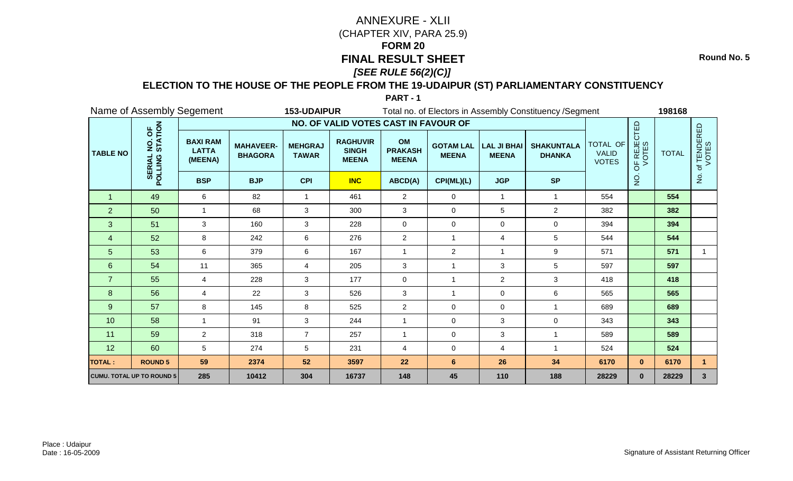**Round No. 5**

### **ELECTION TO THE HOUSE OF THE PEOPLE FROM THE 19-UDAIPUR (ST) PARLIAMENTARY CONSTITUENCY**

|                 | Name of Assembly Segement                     |                                            |                                    | 153-UDAIPUR                    |                                                 |                                      |                                  |                                    | Total no. of Electors in Assembly Constituency / Segment |                                          |                                               | 198168       |                     |
|-----------------|-----------------------------------------------|--------------------------------------------|------------------------------------|--------------------------------|-------------------------------------------------|--------------------------------------|----------------------------------|------------------------------------|----------------------------------------------------------|------------------------------------------|-----------------------------------------------|--------------|---------------------|
|                 |                                               |                                            |                                    |                                | NO. OF VALID VOTES CAST IN FAVOUR OF            |                                      |                                  |                                    |                                                          |                                          |                                               |              |                     |
| <b>TABLE NO</b> | NO. OF<br>STATION<br><b>SERIAL</b><br>POLLING | <b>BAXI RAM</b><br><b>LATTA</b><br>(MEENA) | <b>MAHAVEER-</b><br><b>BHAGORA</b> | <b>MEHGRAJ</b><br><b>TAWAR</b> | <b>RAGHUVIR</b><br><b>SINGH</b><br><b>MEENA</b> | OM<br><b>PRAKASH</b><br><b>MEENA</b> | <b>GOTAM LAL</b><br><b>MEENA</b> | <b>LAL JI BHAI</b><br><b>MEENA</b> | <b>SHAKUNTALA</b><br><b>DHANKA</b>                       | TOTAL OF<br><b>VALID</b><br><b>VOTES</b> | <b>JF REJECTED</b><br>VOTES<br>$\overline{6}$ | <b>TOTAL</b> | f TENDERED<br>VOTES |
|                 |                                               | <b>BSP</b>                                 | <b>BJP</b>                         | <b>CPI</b>                     | <b>INC</b>                                      | ABCD(A)                              | CPI(ML)(L)                       | <b>JGP</b>                         | <b>SP</b>                                                |                                          | $\frac{1}{2}$                                 |              | $\frac{1}{2}$       |
|                 | 49                                            | 6                                          | 82                                 | 1                              | 461                                             | 2                                    | 0                                | $\mathbf{1}$                       | -1                                                       | 554                                      |                                               | 554          |                     |
| $\overline{2}$  | 50                                            | $\blacktriangleleft$                       | 68                                 | 3                              | 300                                             | 3                                    | 0                                | 5                                  | $\overline{2}$                                           | 382                                      |                                               | 382          |                     |
| 3               | 51                                            | 3                                          | 160                                | 3                              | 228                                             | $\mathbf 0$                          | 0                                | 0                                  | $\pmb{0}$                                                | 394                                      |                                               | 394          |                     |
| 4               | 52                                            | 8                                          | 242                                | 6                              | 276                                             | $\overline{c}$                       | 1                                | 4                                  | 5                                                        | 544                                      |                                               | 544          |                     |
| 5               | 53                                            | 6                                          | 379                                | 6                              | 167                                             | $\overline{1}$                       | $\overline{2}$                   | 1                                  | 9                                                        | 571                                      |                                               | 571          | 1.                  |
| $6\phantom{1}6$ | 54                                            | 11                                         | 365                                | $\overline{4}$                 | 205                                             | 3                                    |                                  | 3                                  | 5                                                        | 597                                      |                                               | 597          |                     |
| $\overline{7}$  | 55                                            | 4                                          | 228                                | 3                              | 177                                             | $\mathbf 0$                          | 1                                | $\overline{2}$                     | 3                                                        | 418                                      |                                               | 418          |                     |
| 8               | 56                                            | 4                                          | 22                                 | 3                              | 526                                             | 3                                    |                                  | 0                                  | $\,6$                                                    | 565                                      |                                               | 565          |                     |
| 9               | 57                                            | 8                                          | 145                                | 8                              | 525                                             | $\overline{2}$                       | $\mathbf 0$                      | 0                                  | $\overline{1}$                                           | 689                                      |                                               | 689          |                     |
| 10              | 58                                            | $\mathbf{1}$                               | 91                                 | $\mathbf{3}$                   | 244                                             | $\overline{1}$                       | $\mathbf 0$                      | 3                                  | $\pmb{0}$                                                | 343                                      |                                               | 343          |                     |
| 11              | 59                                            | $\overline{2}$                             | 318                                | $\overline{7}$                 | 257                                             | $\overline{1}$                       | 0                                | 3                                  | $\overline{1}$                                           | 589                                      |                                               | 589          |                     |
| 12              | 60                                            | 5                                          | 274                                | 5                              | 231                                             | $\overline{4}$                       | 0                                | 4                                  | $\overline{1}$                                           | 524                                      |                                               | 524          |                     |
| <b>TOTAL:</b>   | <b>ROUND 5</b>                                | 59                                         | 2374                               | 52                             | 3597                                            | 22                                   | 6                                | 26                                 | 34                                                       | 6170                                     | $\mathbf{0}$                                  | 6170         |                     |
|                 | <b>CUMU. TOTAL UP TO ROUND 5</b>              | 285                                        | 10412                              | 304                            | 16737                                           | 148                                  | 45                               | 110                                | 188                                                      | 28229                                    | $\mathbf{0}$                                  | 28229        | $\mathbf{3}$        |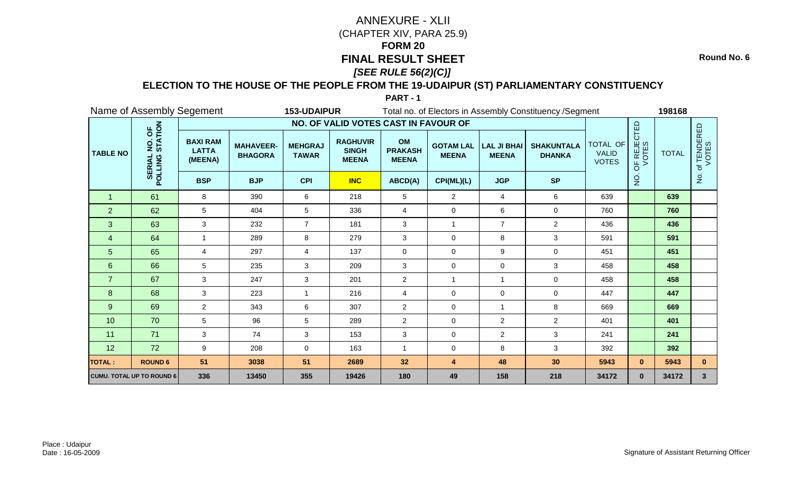**Round No. 6**

### **ELECTION TO THE HOUSE OF THE PEOPLE FROM THE 19-UDAIPUR (ST) PARLIAMENTARY CONSTITUENCY**

|                 | Name of Assembly Segement                     |                                            |                                    | 153-UDAIPUR                    |                                                 |                                      |                                  |                                    | Total no. of Electors in Assembly Constituency / Segment |                                          |                      | 198168       |                     |
|-----------------|-----------------------------------------------|--------------------------------------------|------------------------------------|--------------------------------|-------------------------------------------------|--------------------------------------|----------------------------------|------------------------------------|----------------------------------------------------------|------------------------------------------|----------------------|--------------|---------------------|
|                 |                                               |                                            |                                    |                                | NO. OF VALID VOTES CAST IN FAVOUR OF            |                                      |                                  |                                    |                                                          |                                          |                      |              |                     |
| <b>TABLE NO</b> | NO. OF<br>STATION<br><b>SERIAL</b><br>POLLING | <b>BAXI RAM</b><br><b>LATTA</b><br>(MEENA) | <b>MAHAVEER-</b><br><b>BHAGORA</b> | <b>MEHGRAJ</b><br><b>TAWAR</b> | <b>RAGHUVIR</b><br><b>SINGH</b><br><b>MEENA</b> | OM<br><b>PRAKASH</b><br><b>MEENA</b> | <b>GOTAM LAL</b><br><b>MEENA</b> | <b>LAL JI BHAI</b><br><b>MEENA</b> | <b>SHAKUNTALA</b><br><b>DHANKA</b>                       | TOTAL OF<br><b>VALID</b><br><b>VOTES</b> | OF REJECTED<br>VOTES | <b>TOTAL</b> | f TENDERED<br>VOTES |
|                 |                                               | <b>BSP</b>                                 | <b>BJP</b>                         | <b>CPI</b>                     | <b>INC</b>                                      | ABCD(A)                              | CPI(ML)(L)                       | <b>JGP</b>                         | <b>SP</b>                                                |                                          | $\overline{5}$       |              | ş                   |
| 1               | 61                                            | 8                                          | 390                                | 6                              | 218                                             | 5                                    | 2                                | 4                                  | 6                                                        | 639                                      |                      | 639          |                     |
| $\overline{2}$  | 62                                            | 5                                          | 404                                | 5                              | 336                                             | 4                                    | 0                                | 6                                  | $\mathbf 0$                                              | 760                                      |                      | 760          |                     |
| 3               | 63                                            | 3                                          | 232                                | $\overline{7}$                 | 181                                             | $\mathbf{3}$                         | $\overline{1}$                   | $\overline{7}$                     | $\overline{2}$                                           | 436                                      |                      | 436          |                     |
| $\overline{4}$  | 64                                            | -1                                         | 289                                | 8                              | 279                                             | 3                                    | 0                                | 8                                  | 3                                                        | 591                                      |                      | 591          |                     |
| 5               | 65                                            | 4                                          | 297                                | 4                              | 137                                             | $\mathbf 0$                          | $\mathbf 0$                      | 9                                  | $\mathbf 0$                                              | 451                                      |                      | 451          |                     |
| 6               | 66                                            | 5                                          | 235                                | 3                              | 209                                             | 3                                    | 0                                | 0                                  | $\mathbf{3}$                                             | 458                                      |                      | 458          |                     |
| $\overline{7}$  | 67                                            | 3                                          | 247                                | 3                              | 201                                             | $\overline{2}$                       | $\overline{1}$                   | 1                                  | $\mathbf 0$                                              | 458                                      |                      | 458          |                     |
| 8               | 68                                            | 3                                          | 223                                |                                | 216                                             | 4                                    | $\mathbf 0$                      | 0                                  | $\Omega$                                                 | 447                                      |                      | 447          |                     |
| 9               | 69                                            | 2                                          | 343                                | 6                              | 307                                             | $\overline{c}$                       | $\mathbf 0$                      | 1                                  | $\bf 8$                                                  | 669                                      |                      | 669          |                     |
| 10              | 70                                            | 5                                          | 96                                 | 5                              | 289                                             | $\overline{2}$                       | $\mathbf 0$                      | $\overline{a}$                     | $\overline{2}$                                           | 401                                      |                      | 401          |                     |
| 11              | 71                                            | 3                                          | 74                                 | 3                              | 153                                             | 3                                    | $\mathbf 0$                      | $\overline{2}$                     | 3                                                        | 241                                      |                      | 241          |                     |
| 12              | 72                                            | 9                                          | 208                                | 0                              | 163                                             | -1                                   | 0                                | 8                                  | 3                                                        | 392                                      |                      | 392          |                     |
| <b>TOTAL:</b>   | <b>ROUND 6</b>                                | 51                                         | 3038                               | 51                             | 2689                                            | 32                                   | $\overline{4}$                   | 48                                 | 30                                                       | 5943                                     | $\mathbf{0}$         | 5943         | $\mathbf{0}$        |
|                 | <b>CUMU. TOTAL UP TO ROUND 6</b>              | 336                                        | 13450                              | 355                            | 19426                                           | 180                                  | 49                               | 158                                | 218                                                      | 34172                                    | $\mathbf{0}$         | 34172        | $\mathbf{3}$        |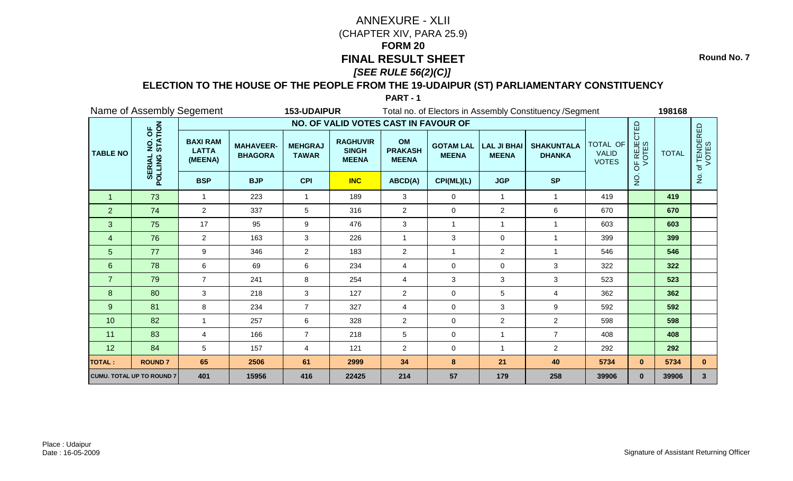**Round No. 7**

### **ELECTION TO THE HOUSE OF THE PEOPLE FROM THE 19-UDAIPUR (ST) PARLIAMENTARY CONSTITUENCY**

|                 | Name of Assembly Segement                     |                                            |                                    | 153-UDAIPUR                    |                                                 |                                      |                                  |                                    | Total no. of Electors in Assembly Constituency / Segment |                                          |                      | 198168       |                     |
|-----------------|-----------------------------------------------|--------------------------------------------|------------------------------------|--------------------------------|-------------------------------------------------|--------------------------------------|----------------------------------|------------------------------------|----------------------------------------------------------|------------------------------------------|----------------------|--------------|---------------------|
|                 |                                               |                                            |                                    |                                | NO. OF VALID VOTES CAST IN FAVOUR OF            |                                      |                                  |                                    |                                                          |                                          |                      |              |                     |
| <b>TABLE NO</b> | NO. OF<br>STATION<br><b>SERIAL</b><br>POLLING | <b>BAXI RAM</b><br><b>LATTA</b><br>(MEENA) | <b>MAHAVEER-</b><br><b>BHAGORA</b> | <b>MEHGRAJ</b><br><b>TAWAR</b> | <b>RAGHUVIR</b><br><b>SINGH</b><br><b>MEENA</b> | OM<br><b>PRAKASH</b><br><b>MEENA</b> | <b>GOTAM LAL</b><br><b>MEENA</b> | <b>LAL JI BHAI</b><br><b>MEENA</b> | <b>SHAKUNTALA</b><br><b>DHANKA</b>                       | TOTAL OF<br><b>VALID</b><br><b>VOTES</b> | OF REJECTED<br>VOTES | <b>TOTAL</b> | f TENDERED<br>VOTES |
|                 |                                               | <b>BSP</b>                                 | <b>BJP</b>                         | <b>CPI</b>                     | <b>INC</b>                                      | ABCD(A)                              | CPI(ML)(L)                       | <b>JGP</b>                         | <b>SP</b>                                                |                                          | $\frac{1}{2}$        |              | $\frac{1}{2}$       |
| 1               | 73                                            | -1                                         | 223                                |                                | 189                                             | 3                                    | $\mathbf 0$                      | $\mathbf{1}$                       | $\mathbf 1$                                              | 419                                      |                      | 419          |                     |
| $\overline{2}$  | 74                                            | $\overline{2}$                             | 337                                | 5                              | 316                                             | 2                                    | $\mathbf 0$                      | $\overline{2}$                     | $\,6\,$                                                  | 670                                      |                      | 670          |                     |
| 3               | 75                                            | 17                                         | 95                                 | 9                              | 476                                             | 3                                    | 1                                | $\mathbf{1}$                       | $\overline{1}$                                           | 603                                      |                      | 603          |                     |
| $\overline{4}$  | 76                                            | $\overline{2}$                             | 163                                | 3                              | 226                                             | $\mathbf{1}$                         | $\mathbf{3}$                     | 0                                  | $\overline{1}$                                           | 399                                      |                      | 399          |                     |
| $\overline{5}$  | 77                                            | 9                                          | 346                                | $\overline{2}$                 | 183                                             | $\overline{2}$                       |                                  | $\overline{2}$                     | $\overline{1}$                                           | 546                                      |                      | 546          |                     |
| $6\phantom{1}$  | 78                                            | 6                                          | 69                                 | 6                              | 234                                             | $\overline{4}$                       | $\mathbf 0$                      | 0                                  | 3                                                        | 322                                      |                      | 322          |                     |
| $\overline{7}$  | 79                                            | $\overline{7}$                             | 241                                | 8                              | 254                                             | 4                                    | $\mathbf{3}$                     | 3                                  | 3                                                        | 523                                      |                      | 523          |                     |
| 8               | 80                                            | 3                                          | 218                                | 3                              | 127                                             | $\overline{2}$                       | $\mathbf 0$                      | 5                                  | $\overline{4}$                                           | 362                                      |                      | 362          |                     |
| 9               | 81                                            | 8                                          | 234                                | $\overline{7}$                 | 327                                             | 4                                    | $\mathbf 0$                      | 3                                  | 9                                                        | 592                                      |                      | 592          |                     |
| 10              | 82                                            | $\overline{1}$                             | 257                                | 6                              | 328                                             | $\overline{2}$                       | $\mathbf 0$                      | $\overline{2}$                     | $\overline{2}$                                           | 598                                      |                      | 598          |                     |
| 11              | 83                                            | $\overline{4}$                             | 166                                | $\overline{7}$                 | 218                                             | 5                                    | $\mathbf 0$                      | 1                                  | $\overline{7}$                                           | 408                                      |                      | 408          |                     |
| 12              | 84                                            | 5                                          | 157                                | 4                              | 121                                             | $\overline{2}$                       | 0                                | 1                                  | $\overline{2}$                                           | 292                                      |                      | 292          |                     |
| <b>TOTAL:</b>   | <b>ROUND7</b>                                 | 65                                         | 2506                               | 61                             | 2999                                            | 34                                   | 8                                | 21                                 | 40                                                       | 5734                                     | $\mathbf{0}$         | 5734         | $\mathbf{0}$        |
|                 | <b>CUMU. TOTAL UP TO ROUND 7</b>              | 401                                        | 15956                              | 416                            | 22425                                           | 214                                  | 57                               | 179                                | 258                                                      | 39906                                    | $\mathbf{0}$         | 39906        | $\mathbf{3}$        |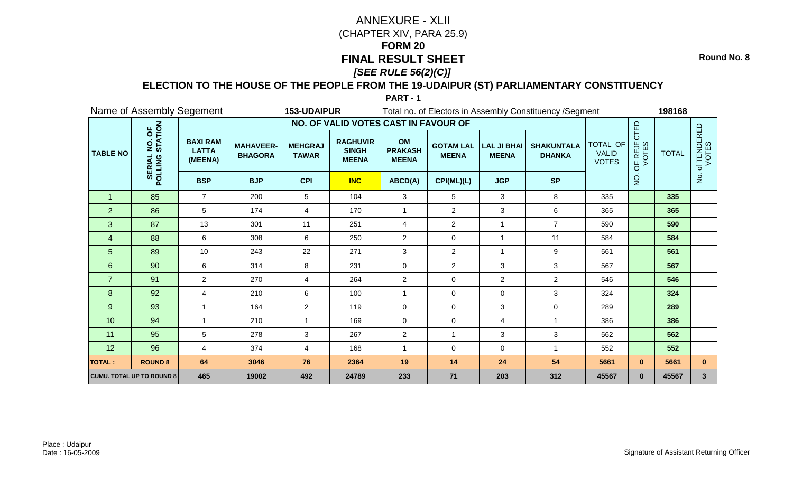**Round No. 8**

### **ELECTION TO THE HOUSE OF THE PEOPLE FROM THE 19-UDAIPUR (ST) PARLIAMENTARY CONSTITUENCY**

|                 | Name of Assembly Segement                     |                                            |                                    | 153-UDAIPUR                    |                                                 |                                      |                                  |                                    | Total no. of Electors in Assembly Constituency / Segment |                                          |                      | 198168       |                          |
|-----------------|-----------------------------------------------|--------------------------------------------|------------------------------------|--------------------------------|-------------------------------------------------|--------------------------------------|----------------------------------|------------------------------------|----------------------------------------------------------|------------------------------------------|----------------------|--------------|--------------------------|
|                 |                                               |                                            |                                    |                                | NO. OF VALID VOTES CAST IN FAVOUR OF            |                                      |                                  |                                    |                                                          |                                          |                      |              |                          |
| <b>TABLE NO</b> | NO. OF<br>STATION<br><b>SERIAL</b><br>POLLING | <b>BAXI RAM</b><br><b>LATTA</b><br>(MEENA) | <b>MAHAVEER-</b><br><b>BHAGORA</b> | <b>MEHGRAJ</b><br><b>TAWAR</b> | <b>RAGHUVIR</b><br><b>SINGH</b><br><b>MEENA</b> | OM<br><b>PRAKASH</b><br><b>MEENA</b> | <b>GOTAM LAL</b><br><b>MEENA</b> | <b>LAL JI BHAI</b><br><b>MEENA</b> | <b>SHAKUNTALA</b><br><b>DHANKA</b>                       | TOTAL OF<br><b>VALID</b><br><b>VOTES</b> | OF REJECTED<br>VOTES | <b>TOTAL</b> | f TENDERED<br>VOTES<br>đ |
|                 |                                               | <b>BSP</b>                                 | <b>BJP</b>                         | <b>CPI</b>                     | <b>INC</b>                                      | ABCD(A)                              | CPI(ML)(L)                       | <b>JGP</b>                         | <b>SP</b>                                                |                                          | o<br>Z               |              | $\frac{1}{2}$            |
| -1              | 85                                            | $\overline{7}$                             | 200                                | 5                              | 104                                             | 3                                    | 5                                | 3                                  | 8                                                        | 335                                      |                      | 335          |                          |
| $\overline{2}$  | 86                                            | 5                                          | 174                                | 4                              | 170                                             | $\overline{1}$                       | $\overline{2}$                   | 3                                  | 6                                                        | 365                                      |                      | 365          |                          |
| 3               | 87                                            | 13                                         | 301                                | 11                             | 251                                             | 4                                    | $\overline{c}$                   | $\mathbf{1}$                       | $\overline{7}$                                           | 590                                      |                      | 590          |                          |
| $\overline{4}$  | 88                                            | 6                                          | 308                                | 6                              | 250                                             | $\overline{2}$                       | 0                                | $\overline{1}$                     | 11                                                       | 584                                      |                      | 584          |                          |
| 5               | 89                                            | 10                                         | 243                                | 22                             | 271                                             | 3                                    | $\overline{2}$                   |                                    | 9                                                        | 561                                      |                      | 561          |                          |
| $6\phantom{1}$  | 90                                            | 6                                          | 314                                | 8                              | 231                                             | $\mathbf 0$                          | $\overline{c}$                   | 3                                  | 3                                                        | 567                                      |                      | 567          |                          |
| $\overline{7}$  | 91                                            | $\overline{2}$                             | 270                                | 4                              | 264                                             | $\overline{2}$                       | 0                                | $\overline{2}$                     | $\overline{2}$                                           | 546                                      |                      | 546          |                          |
| 8               | 92                                            | 4                                          | 210                                | 6                              | 100                                             | 1                                    | 0                                | 0                                  | $\mathbf{3}$                                             | 324                                      |                      | 324          |                          |
| 9               | 93                                            | 1                                          | 164                                | $\overline{2}$                 | 119                                             | $\mathbf 0$                          | $\Omega$                         | 3                                  | $\mathbf 0$                                              | 289                                      |                      | 289          |                          |
| 10              | 94                                            | 1                                          | 210                                | $\mathbf{1}$                   | 169                                             | $\mathbf 0$                          | 0                                | 4                                  | $\overline{1}$                                           | 386                                      |                      | 386          |                          |
| 11              | 95                                            | 5                                          | 278                                | 3                              | 267                                             | $\overline{2}$                       | $\mathbf{1}$                     | 3                                  | 3                                                        | 562                                      |                      | 562          |                          |
| 12              | 96                                            | 4                                          | 374                                | 4                              | 168                                             | -1                                   | 0                                | 0                                  |                                                          | 552                                      |                      | 552          |                          |
| <b>TOTAL:</b>   | <b>ROUND 8</b>                                | 64                                         | 3046                               | 76                             | 2364                                            | 19                                   | 14                               | 24                                 | 54                                                       | 5661                                     | $\mathbf{0}$         | 5661         | $\mathbf{0}$             |
|                 | <b>CUMU. TOTAL UP TO ROUND 8</b>              | 465                                        | 19002                              | 492                            | 24789                                           | 233                                  | $71$                             | 203                                | 312                                                      | 45567                                    | $\mathbf{0}$         | 45567        | 3 <sup>5</sup>           |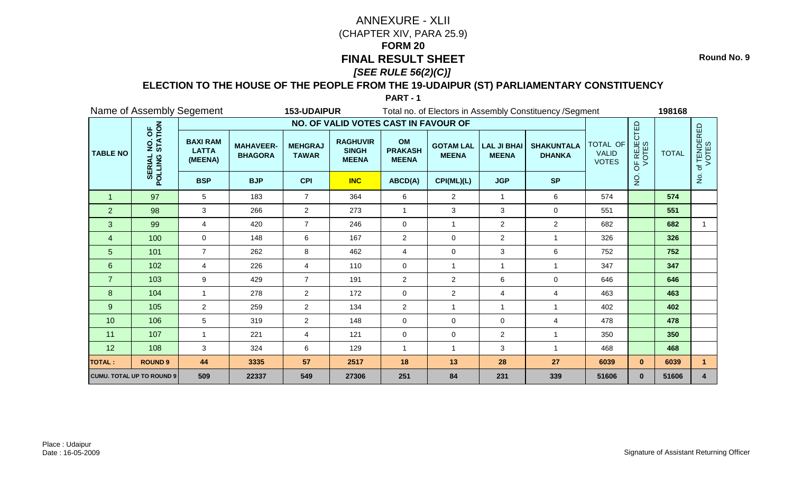**Round No. 9**

### **ELECTION TO THE HOUSE OF THE PEOPLE FROM THE 19-UDAIPUR (ST) PARLIAMENTARY CONSTITUENCY**

|                 |                                                             | Name of Assembly Segement                  |                                    | 153-UDAIPUR                    |                                                 |                                      |                                  |                                    | Total no. of Electors in Assembly Constituency / Segment |                                          |                      | 198168       |                          |
|-----------------|-------------------------------------------------------------|--------------------------------------------|------------------------------------|--------------------------------|-------------------------------------------------|--------------------------------------|----------------------------------|------------------------------------|----------------------------------------------------------|------------------------------------------|----------------------|--------------|--------------------------|
|                 |                                                             |                                            |                                    |                                | NO. OF VALID VOTES CAST IN FAVOUR OF            |                                      |                                  |                                    |                                                          |                                          |                      |              |                          |
| <b>TABLE NO</b> | STATION<br>b.<br>$\overline{2}$<br><b>SERIAL</b><br>POLLING | <b>BAXI RAM</b><br><b>LATTA</b><br>(MEENA) | <b>MAHAVEER-</b><br><b>BHAGORA</b> | <b>MEHGRAJ</b><br><b>TAWAR</b> | <b>RAGHUVIR</b><br><b>SINGH</b><br><b>MEENA</b> | OM<br><b>PRAKASH</b><br><b>MEENA</b> | <b>GOTAM LAL</b><br><b>MEENA</b> | <b>LAL JI BHAI</b><br><b>MEENA</b> | <b>SHAKUNTALA</b><br><b>DHANKA</b>                       | TOTAL OF<br><b>VALID</b><br><b>VOTES</b> | OF REJECTED<br>VOTES | <b>TOTAL</b> | f TENDERED<br>VOTES<br>đ |
|                 |                                                             | <b>BSP</b>                                 | <b>BJP</b>                         | <b>CPI</b>                     | <b>INC</b>                                      | ABCD(A)                              | CPI(ML)(L)                       | <b>JGP</b>                         | <b>SP</b>                                                |                                          | o<br>Z               |              | $\frac{1}{2}$            |
| -1              | 97                                                          | 5                                          | 183                                | $\overline{7}$                 | 364                                             | 6                                    | $\overline{2}$                   | -1                                 | 6                                                        | 574                                      |                      | 574          |                          |
| $\overline{2}$  | 98                                                          | 3                                          | 266                                | $\overline{2}$                 | 273                                             | $\overline{1}$                       | 3                                | 3                                  | $\mathbf 0$                                              | 551                                      |                      | 551          |                          |
| 3               | 99                                                          | 4                                          | 420                                | $\overline{7}$                 | 246                                             | $\mathbf 0$                          | $\mathbf{1}$                     | $\overline{2}$                     | $\overline{2}$                                           | 682                                      |                      | 682          |                          |
| $\overline{4}$  | 100                                                         | $\mathbf 0$                                | 148                                | 6                              | 167                                             | $\overline{2}$                       | 0                                | $\overline{a}$                     | -1                                                       | 326                                      |                      | 326          |                          |
| 5               | 101                                                         | $\overline{7}$                             | 262                                | 8                              | 462                                             | $\overline{4}$                       | 0                                | 3                                  | 6                                                        | 752                                      |                      | 752          |                          |
| $6\phantom{1}$  | 102                                                         | 4                                          | 226                                | 4                              | 110                                             | $\mathbf 0$                          | $\mathbf{1}$                     |                                    |                                                          | 347                                      |                      | 347          |                          |
| $\overline{7}$  | 103                                                         | 9                                          | 429                                | $\overline{7}$                 | 191                                             | $\overline{2}$                       | $\overline{2}$                   | 6                                  | $\mathbf 0$                                              | 646                                      |                      | 646          |                          |
| 8               | 104                                                         |                                            | 278                                | $\overline{2}$                 | 172                                             | $\mathbf 0$                          | $\overline{c}$                   | 4                                  | $\overline{4}$                                           | 463                                      |                      | 463          |                          |
| 9               | 105                                                         | $\overline{2}$                             | 259                                | $\overline{2}$                 | 134                                             | $\overline{2}$                       | $\mathbf{1}$                     | -1                                 | $\overline{1}$                                           | 402                                      |                      | 402          |                          |
| 10              | 106                                                         | 5 <sup>5</sup>                             | 319                                | $\overline{2}$                 | 148                                             | $\mathbf 0$                          | 0                                | $\mathbf 0$                        | 4                                                        | 478                                      |                      | 478          |                          |
| 11              | 107                                                         |                                            | 221                                | 4                              | 121                                             | $\mathbf 0$                          | 0                                | $\overline{a}$                     |                                                          | 350                                      |                      | 350          |                          |
| 12              | 108                                                         | 3                                          | 324                                | 6                              | 129                                             | $\overline{1}$                       | $\mathbf{1}$                     | 3                                  |                                                          | 468                                      |                      | 468          |                          |
| <b>TOTAL:</b>   | <b>ROUND 9</b>                                              | 44                                         | 3335                               | 57                             | 2517                                            | 18                                   | 13                               | 28                                 | 27                                                       | 6039                                     | $\mathbf{0}$         | 6039         | 1                        |
|                 | <b>CUMU. TOTAL UP TO ROUND 9</b>                            | 509                                        | 22337                              | 549                            | 27306                                           | 251                                  | 84                               | 231                                | 339                                                      | 51606                                    | $\mathbf{0}$         | 51606        | 4                        |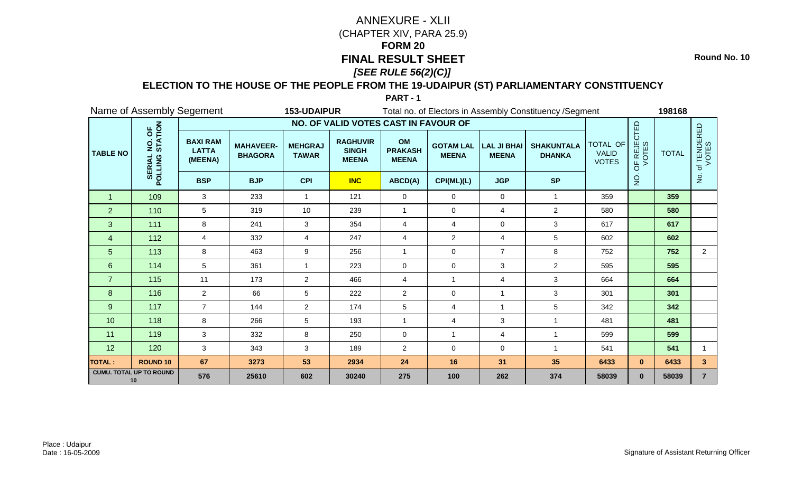**Round No. 10**

### **ELECTION TO THE HOUSE OF THE PEOPLE FROM THE 19-UDAIPUR (ST) PARLIAMENTARY CONSTITUENCY**

|                 | Name of Assembly Segement                     |                                            |                                    | 153-UDAIPUR                    |                                                 |                                      |                                  |                                    | Total no. of Electors in Assembly Constituency / Segment |                                                 |                      | 198168       |                      |
|-----------------|-----------------------------------------------|--------------------------------------------|------------------------------------|--------------------------------|-------------------------------------------------|--------------------------------------|----------------------------------|------------------------------------|----------------------------------------------------------|-------------------------------------------------|----------------------|--------------|----------------------|
|                 |                                               |                                            |                                    |                                | NO. OF VALID VOTES CAST IN FAVOUR OF            |                                      |                                  |                                    |                                                          |                                                 |                      |              |                      |
| <b>TABLE NO</b> | NO. OF<br>STATION<br><b>SERIAL</b><br>POLLING | <b>BAXI RAM</b><br><b>LATTA</b><br>(MEENA) | <b>MAHAVEER-</b><br><b>BHAGORA</b> | <b>MEHGRAJ</b><br><b>TAWAR</b> | <b>RAGHUVIR</b><br><b>SINGH</b><br><b>MEENA</b> | OM<br><b>PRAKASH</b><br><b>MEENA</b> | <b>GOTAM LAL</b><br><b>MEENA</b> | <b>LAL JI BHAI</b><br><b>MEENA</b> | <b>SHAKUNTALA</b><br><b>DHANKA</b>                       | <b>TOTAL OF</b><br><b>VALID</b><br><b>VOTES</b> | OF REJECTED<br>VOTES | <b>TOTAL</b> | of TENDERED<br>VOTES |
|                 |                                               | <b>BSP</b>                                 | <b>BJP</b>                         | <b>CPI</b>                     | <b>INC</b>                                      | ABCD(A)                              | CPI(ML)(L)                       | <b>JGP</b>                         | <b>SP</b>                                                |                                                 | $\overline{5}$       |              | $\frac{5}{2}$        |
| 1               | 109                                           | 3                                          | 233                                | 1                              | 121                                             | 0                                    | 0                                | 0                                  | $\mathbf 1$                                              | 359                                             |                      | 359          |                      |
| $\overline{2}$  | 110                                           | 5                                          | 319                                | 10                             | 239                                             | $\mathbf{1}$                         | 0                                | 4                                  | $\overline{2}$                                           | 580                                             |                      | 580          |                      |
| 3               | 111                                           | 8                                          | 241                                | 3                              | 354                                             | 4                                    | 4                                | $\mathbf 0$                        | 3                                                        | 617                                             |                      | 617          |                      |
| 4               | 112                                           | 4                                          | 332                                | 4                              | 247                                             | $\overline{4}$                       | $\overline{c}$                   | 4                                  | $\sqrt{5}$                                               | 602                                             |                      | 602          |                      |
| 5               | 113                                           | 8                                          | 463                                | 9                              | 256                                             | $\mathbf{1}$                         | $\mathbf 0$                      | $\overline{7}$                     | 8                                                        | 752                                             |                      | 752          | $\overline{2}$       |
| $\,6\,$         | 114                                           | 5                                          | 361                                | 1                              | 223                                             | $\pmb{0}$                            | 0                                | 3                                  | $\overline{2}$                                           | 595                                             |                      | 595          |                      |
| $\overline{7}$  | 115                                           | 11                                         | 173                                | $\overline{2}$                 | 466                                             | 4                                    | $\overline{1}$                   | 4                                  | 3                                                        | 664                                             |                      | 664          |                      |
| 8               | 116                                           | $\overline{2}$                             | 66                                 | 5                              | 222                                             | $\overline{2}$                       | 0                                | 1                                  | $\mathbf{3}$                                             | 301                                             |                      | 301          |                      |
| $9\,$           | 117                                           | $\overline{7}$                             | 144                                | $\overline{2}$                 | 174                                             | 5                                    | 4                                | 1                                  | 5                                                        | 342                                             |                      | 342          |                      |
| 10              | 118                                           | 8                                          | 266                                | 5                              | 193                                             | $\mathbf{1}$                         | 4                                | 3                                  | $\overline{1}$                                           | 481                                             |                      | 481          |                      |
| 11              | 119                                           | 3                                          | 332                                | 8                              | 250                                             | $\mathbf 0$                          | 1                                | 4                                  | $\mathbf{1}$                                             | 599                                             |                      | 599          |                      |
| 12              | 120                                           | 3                                          | 343                                | 3                              | 189                                             | $\overline{2}$                       | 0                                | 0                                  | 1                                                        | 541                                             |                      | 541          | 1                    |
| <b>TOTAL:</b>   | <b>ROUND 10</b>                               | 67                                         | 3273                               | 53                             | 2934                                            | 24                                   | 16                               | 31                                 | 35                                                       | 6433                                            | $\mathbf{0}$         | 6433         | 3 <sup>2</sup>       |
|                 | <b>CUMU. TOTAL UP TO ROUND</b><br>10          | 576                                        | 25610                              | 602                            | 30240                                           | 275                                  | 100                              | 262                                | 374                                                      | 58039                                           | $\mathbf{0}$         | 58039        | $\overline{7}$       |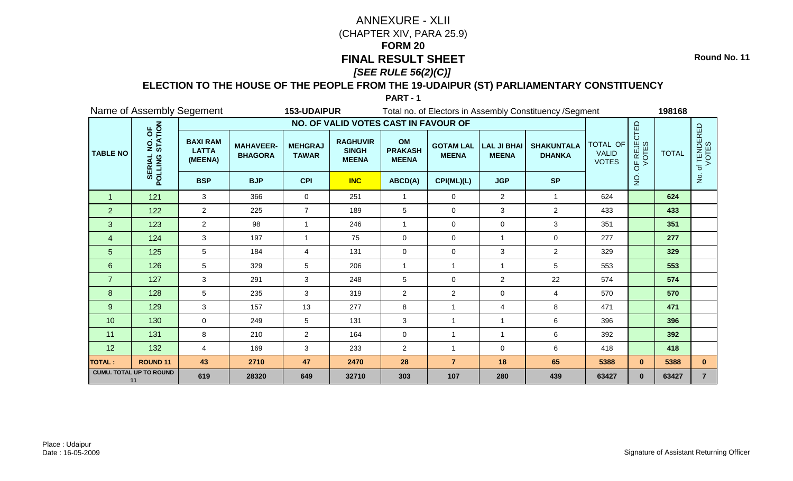**Round No. 11**

#### **ELECTION TO THE HOUSE OF THE PEOPLE FROM THE 19-UDAIPUR (ST) PARLIAMENTARY CONSTITUENCY**

|                 | Name of Assembly Segement                     |                                            |                                    | 153-UDAIPUR                    |                                                 |                                      |                                  |                                    | Total no. of Electors in Assembly Constituency / Segment |                                                 |                      | 198168       |                      |
|-----------------|-----------------------------------------------|--------------------------------------------|------------------------------------|--------------------------------|-------------------------------------------------|--------------------------------------|----------------------------------|------------------------------------|----------------------------------------------------------|-------------------------------------------------|----------------------|--------------|----------------------|
|                 |                                               |                                            |                                    |                                | NO. OF VALID VOTES CAST IN FAVOUR OF            |                                      |                                  |                                    |                                                          |                                                 |                      |              |                      |
| <b>TABLE NO</b> | NO. OF<br>STATION<br><b>SERIAL</b><br>POLLING | <b>BAXI RAM</b><br><b>LATTA</b><br>(MEENA) | <b>MAHAVEER-</b><br><b>BHAGORA</b> | <b>MEHGRAJ</b><br><b>TAWAR</b> | <b>RAGHUVIR</b><br><b>SINGH</b><br><b>MEENA</b> | OM<br><b>PRAKASH</b><br><b>MEENA</b> | <b>GOTAM LAL</b><br><b>MEENA</b> | <b>LAL JI BHAI</b><br><b>MEENA</b> | <b>SHAKUNTALA</b><br><b>DHANKA</b>                       | <b>TOTAL OF</b><br><b>VALID</b><br><b>VOTES</b> | OF REJECTED<br>VOTES | <b>TOTAL</b> | of TENDERED<br>VOTES |
|                 |                                               | <b>BSP</b>                                 | <b>BJP</b>                         | <b>CPI</b>                     | <b>INC</b>                                      | ABCD(A)                              | CPI(ML)(L)                       | <b>JGP</b>                         | <b>SP</b>                                                |                                                 | $\overline{5}$       |              | $\frac{5}{2}$        |
| $\mathbf 1$     | 121                                           | 3                                          | 366                                | 0                              | 251                                             | $\mathbf{1}$                         | 0                                | $\overline{2}$                     | $\mathbf 1$                                              | 624                                             |                      | 624          |                      |
| $\overline{2}$  | $122$                                         | $\overline{2}$                             | 225                                | $\overline{7}$                 | 189                                             | 5                                    | $\mathbf 0$                      | $\mathbf{3}$                       | $\overline{2}$                                           | 433                                             |                      | 433          |                      |
| 3               | 123                                           | $\overline{2}$                             | 98                                 | 1                              | 246                                             | $\mathbf{1}$                         | 0                                | $\mathbf 0$                        | 3                                                        | 351                                             |                      | 351          |                      |
| 4               | 124                                           | 3                                          | 197                                | 1                              | 75                                              | $\mathbf 0$                          | 0                                | 1                                  | $\mathbf 0$                                              | 277                                             |                      | 277          |                      |
| 5               | 125                                           | 5                                          | 184                                | $\overline{4}$                 | 131                                             | $\mathbf 0$                          | $\mathbf 0$                      | 3                                  | $\overline{2}$                                           | 329                                             |                      | 329          |                      |
| $\,6\,$         | 126                                           | 5                                          | 329                                | 5                              | 206                                             | $\mathbf{1}$                         | 1                                | 1                                  | 5                                                        | 553                                             |                      | 553          |                      |
| $\overline{7}$  | 127                                           | 3                                          | 291                                | 3                              | 248                                             | 5                                    | $\mathbf 0$                      | $\overline{2}$                     | 22                                                       | 574                                             |                      | 574          |                      |
| $\bf 8$         | 128                                           | 5                                          | 235                                | 3                              | 319                                             | $\overline{c}$                       | $\overline{c}$                   | 0                                  | 4                                                        | 570                                             |                      | 570          |                      |
| $9\,$           | 129                                           | 3                                          | 157                                | 13                             | 277                                             | 8                                    | $\overline{\phantom{a}}$         | 4                                  | 8                                                        | 471                                             |                      | 471          |                      |
| 10              | 130                                           | $\mathbf 0$                                | 249                                | 5                              | 131                                             | 3                                    | $\overline{1}$                   | $\mathbf{1}$                       | 6                                                        | 396                                             |                      | 396          |                      |
| 11              | 131                                           | 8                                          | 210                                | $\overline{2}$                 | 164                                             | $\mathbf 0$                          | 1                                |                                    | 6                                                        | 392                                             |                      | 392          |                      |
| 12              | 132                                           | 4                                          | 169                                | 3                              | 233                                             | $\overline{2}$                       | 1                                | 0                                  | 6                                                        | 418                                             |                      | 418          |                      |
| <b>TOTAL:</b>   | ROUND <sub>11</sub>                           | 43                                         | 2710                               | 47                             | 2470                                            | 28                                   | $\overline{7}$                   | 18                                 | 65                                                       | 5388                                            | $\mathbf{0}$         | 5388         | $\mathbf{0}$         |
|                 | <b>CUMU. TOTAL UP TO ROUND</b><br>11          | 619                                        | 28320                              | 649                            | 32710                                           | 303                                  | 107                              | 280                                | 439                                                      | 63427                                           | $\mathbf{0}$         | 63427        | $\overline{7}$       |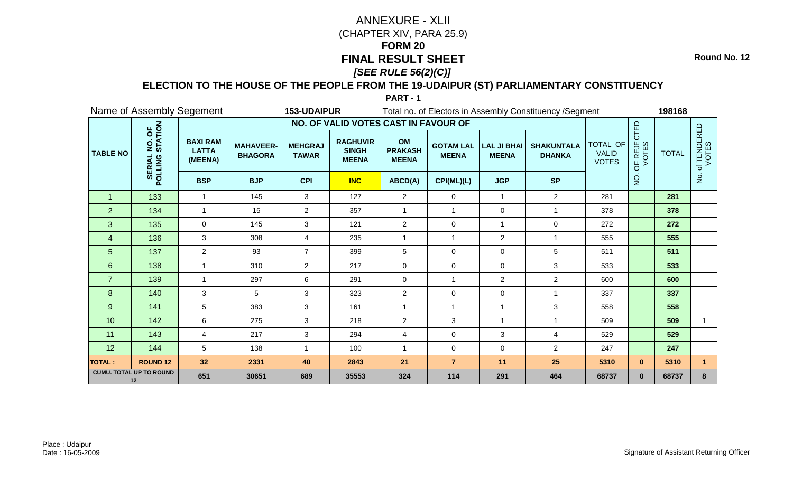**Round No. 12**

### **ELECTION TO THE HOUSE OF THE PEOPLE FROM THE 19-UDAIPUR (ST) PARLIAMENTARY CONSTITUENCY**

|                 | Name of Assembly Segement                     |                                            |                                    | 153-UDAIPUR                    |                                                 |                                      |                                  |                                    | Total no. of Electors in Assembly Constituency / Segment |                                          |                                        | 198168       |                     |
|-----------------|-----------------------------------------------|--------------------------------------------|------------------------------------|--------------------------------|-------------------------------------------------|--------------------------------------|----------------------------------|------------------------------------|----------------------------------------------------------|------------------------------------------|----------------------------------------|--------------|---------------------|
|                 |                                               |                                            |                                    |                                | NO. OF VALID VOTES CAST IN FAVOUR OF            |                                      |                                  |                                    |                                                          |                                          |                                        |              |                     |
| <b>TABLE NO</b> | NO. OF<br>STATION<br><b>SERIAL</b><br>POLLING | <b>BAXI RAM</b><br><b>LATTA</b><br>(MEENA) | <b>MAHAVEER-</b><br><b>BHAGORA</b> | <b>MEHGRAJ</b><br><b>TAWAR</b> | <b>RAGHUVIR</b><br><b>SINGH</b><br><b>MEENA</b> | OM<br><b>PRAKASH</b><br><b>MEENA</b> | <b>GOTAM LAL</b><br><b>MEENA</b> | <b>LAL JI BHAI</b><br><b>MEENA</b> | <b>SHAKUNTALA</b><br><b>DHANKA</b>                       | TOTAL OF<br><b>VALID</b><br><b>VOTES</b> | JF REJECTED<br>VOTES<br>$\overline{6}$ | <b>TOTAL</b> | f TENDERED<br>VOTES |
|                 |                                               | <b>BSP</b>                                 | <b>BJP</b>                         | <b>CPI</b>                     | <b>INC</b>                                      | ABCD(A)                              | CPI(ML)(L)                       | <b>JGP</b>                         | <b>SP</b>                                                |                                          | $\frac{1}{2}$                          |              | $\frac{1}{2}$       |
| -1              | 133                                           | 1                                          | 145                                | 3                              | 127                                             | $\overline{c}$                       | 0                                | $\mathbf{1}$                       | $\overline{2}$                                           | 281                                      |                                        | 281          |                     |
| $\overline{2}$  | 134                                           | $\overline{1}$                             | 15                                 | $\overline{c}$                 | 357                                             | -1                                   | 1                                | 0                                  | -1                                                       | 378                                      |                                        | 378          |                     |
| 3               | 135                                           | $\mathbf 0$                                | 145                                | 3                              | 121                                             | $\overline{c}$                       | $\pmb{0}$                        | $\mathbf{1}$                       | $\pmb{0}$                                                | 272                                      |                                        | 272          |                     |
| 4               | 136                                           | 3                                          | 308                                | 4                              | 235                                             | $\overline{1}$                       | 1                                | $\overline{a}$                     | -1                                                       | 555                                      |                                        | 555          |                     |
| 5               | 137                                           | $\overline{2}$                             | 93                                 | $\overline{7}$                 | 399                                             | 5                                    | $\mathbf 0$                      | 0                                  | 5                                                        | 511                                      |                                        | 511          |                     |
| $6\phantom{1}$  | 138                                           | $\blacktriangleleft$                       | 310                                | $\overline{2}$                 | 217                                             | $\mathbf 0$                          | $\pmb{0}$                        | $\mathbf 0$                        | 3                                                        | 533                                      |                                        | 533          |                     |
| $\overline{7}$  | 139                                           | 1                                          | 297                                | 6                              | 291                                             | $\mathbf 0$                          | $\overline{1}$                   | $\overline{2}$                     | $\overline{2}$                                           | 600                                      |                                        | 600          |                     |
| 8               | 140                                           | 3                                          | 5                                  | 3                              | 323                                             | $\overline{c}$                       | 0                                | 0                                  |                                                          | 337                                      |                                        | 337          |                     |
| 9               | 141                                           | 5                                          | 383                                | 3                              | 161                                             | $\overline{1}$                       | $\overline{1}$                   | $\mathbf{1}$                       | 3                                                        | 558                                      |                                        | 558          |                     |
| 10              | 142                                           | 6                                          | 275                                | $\mathbf{3}$                   | 218                                             | $\overline{c}$                       | $\mathfrak{S}$                   | $\mathbf{1}$                       | $\overline{1}$                                           | 509                                      |                                        | 509          | $\mathbf{1}$        |
| 11              | 143                                           | 4                                          | 217                                | 3                              | 294                                             | $\overline{4}$                       | 0                                | 3                                  | $\overline{4}$                                           | 529                                      |                                        | 529          |                     |
| 12              | 144                                           | 5                                          | 138                                | 1                              | 100                                             | $\overline{1}$                       | 0                                | 0                                  | $\overline{2}$                                           | 247                                      |                                        | 247          |                     |
| <b>TOTAL:</b>   | <b>ROUND 12</b>                               | 32                                         | 2331                               | 40                             | 2843                                            | 21                                   | $\overline{7}$                   | 11                                 | 25                                                       | 5310                                     | $\mathbf{0}$                           | 5310         |                     |
|                 | <b>CUMU. TOTAL UP TO ROUND</b><br>12          | 651                                        | 30651                              | 689                            | 35553                                           | 324                                  | 114                              | 291                                | 464                                                      | 68737                                    | $\mathbf{0}$                           | 68737        | 8                   |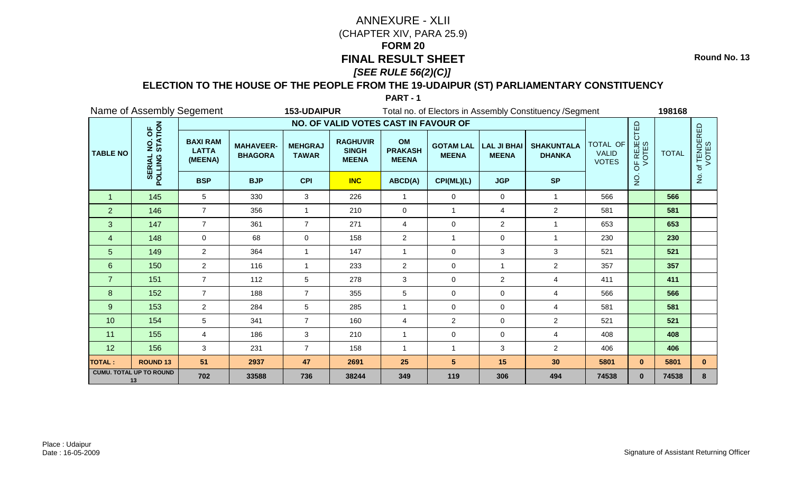**Round No. 13**

### **ELECTION TO THE HOUSE OF THE PEOPLE FROM THE 19-UDAIPUR (ST) PARLIAMENTARY CONSTITUENCY**

| Name of Assembly Segement            |                                               |                                            |                                    | 153-UDAIPUR                    |                                                 |                                      | Total no. of Electors in Assembly Constituency / Segment | 198168                             |                                    |                                                 |                      |              |                                       |
|--------------------------------------|-----------------------------------------------|--------------------------------------------|------------------------------------|--------------------------------|-------------------------------------------------|--------------------------------------|----------------------------------------------------------|------------------------------------|------------------------------------|-------------------------------------------------|----------------------|--------------|---------------------------------------|
|                                      |                                               | NO. OF VALID VOTES CAST IN FAVOUR OF       |                                    |                                |                                                 |                                      |                                                          |                                    |                                    |                                                 |                      |              |                                       |
| <b>TABLE NO</b>                      | NO. OF<br>STATION<br><b>SERIAL</b><br>POLLING | <b>BAXI RAM</b><br><b>LATTA</b><br>(MEENA) | <b>MAHAVEER-</b><br><b>BHAGORA</b> | <b>MEHGRAJ</b><br><b>TAWAR</b> | <b>RAGHUVIR</b><br><b>SINGH</b><br><b>MEENA</b> | OM<br><b>PRAKASH</b><br><b>MEENA</b> | <b>GOTAM LAL</b><br><b>MEENA</b>                         | <b>LAL JI BHAI</b><br><b>MEENA</b> | <b>SHAKUNTALA</b><br><b>DHANKA</b> | <b>TOTAL OF</b><br><b>VALID</b><br><b>VOTES</b> | OF REJECTED<br>VOTES | <b>TOTAL</b> | of TENDERED<br>VOTES<br>$\frac{5}{2}$ |
|                                      |                                               | <b>BSP</b>                                 | <b>BJP</b>                         | <b>CPI</b>                     | <b>INC</b>                                      | ABCD(A)                              | CPI(ML)(L)                                               | <b>JGP</b>                         | <b>SP</b>                          |                                                 | $\overline{5}$       |              |                                       |
| $\mathbf 1$                          | 145                                           | 5                                          | 330                                | 3                              | 226                                             | $\mathbf{1}$                         | 0                                                        | 0                                  | $\mathbf 1$                        | 566                                             |                      | 566          |                                       |
| $\overline{2}$                       | 146                                           | $\overline{7}$                             | 356                                | 1                              | 210                                             | $\mathbf 0$                          | $\overline{1}$                                           | 4                                  | $\overline{2}$                     | 581                                             |                      | 581          |                                       |
| 3                                    | 147                                           | $\overline{7}$                             | 361                                | $\overline{7}$                 | 271                                             | 4                                    | 0                                                        | $\overline{2}$                     | $\mathbf{1}$                       | 653                                             |                      | 653          |                                       |
| 4                                    | 148                                           | $\Omega$                                   | 68                                 | 0                              | 158                                             | $\overline{c}$                       | -1                                                       | 0                                  | $\overline{1}$                     | 230                                             |                      | 230          |                                       |
| 5                                    | 149                                           | $\overline{2}$                             | 364                                | 1                              | 147                                             | $\mathbf{1}$                         | $\mathbf 0$                                              | 3                                  | 3                                  | 521                                             |                      | 521          |                                       |
| $\,6\,$                              | 150                                           | $\overline{2}$                             | 116                                | 1                              | 233                                             | $\overline{c}$                       | 0                                                        | 1                                  | $\overline{2}$                     | 357                                             |                      | 357          |                                       |
| $\overline{7}$                       | 151                                           | $\overline{7}$                             | 112                                | 5                              | 278                                             | 3                                    | $\mathbf 0$                                              | $\overline{2}$                     | $\overline{4}$                     | 411                                             |                      | 411          |                                       |
| 8                                    | 152                                           | $\overline{7}$                             | 188                                | $\overline{7}$                 | 355                                             | 5                                    | 0                                                        | 0                                  | $\overline{4}$                     | 566                                             |                      | 566          |                                       |
| $9\,$                                | 153                                           | $\overline{2}$                             | 284                                | 5                              | 285                                             | $\mathbf{1}$                         | $\mathbf 0$                                              | $\mathbf 0$                        | $\overline{4}$                     | 581                                             |                      | 581          |                                       |
| 10                                   | 154                                           | 5                                          | 341                                | $\overline{7}$                 | 160                                             | $\overline{4}$                       | $\overline{c}$                                           | $\mathbf 0$                        | $\overline{2}$                     | 521                                             |                      | 521          |                                       |
| 11                                   | 155                                           | 4                                          | 186                                | 3                              | 210                                             | $\mathbf{1}$                         | $\mathbf 0$                                              | 0                                  | $\overline{4}$                     | 408                                             |                      | 408          |                                       |
| 12                                   | 156                                           | 3                                          | 231                                | $\overline{7}$                 | 158                                             | $\overline{1}$                       | 1                                                        | 3                                  | $\overline{2}$                     | 406                                             |                      | 406          |                                       |
| <b>TOTAL:</b>                        | <b>ROUND 13</b>                               | 51                                         | 2937                               | 47                             | 2691                                            | 25                                   | $5\phantom{.0}$                                          | 15                                 | 30                                 | 5801                                            | $\mathbf{0}$         | 5801         | $\mathbf{0}$                          |
| <b>CUMU. TOTAL UP TO ROUND</b><br>13 |                                               | 702                                        | 33588                              | 736                            | 38244                                           | 349                                  | 119                                                      | 306                                | 494                                | 74538                                           | $\mathbf{0}$         | 74538        | 8                                     |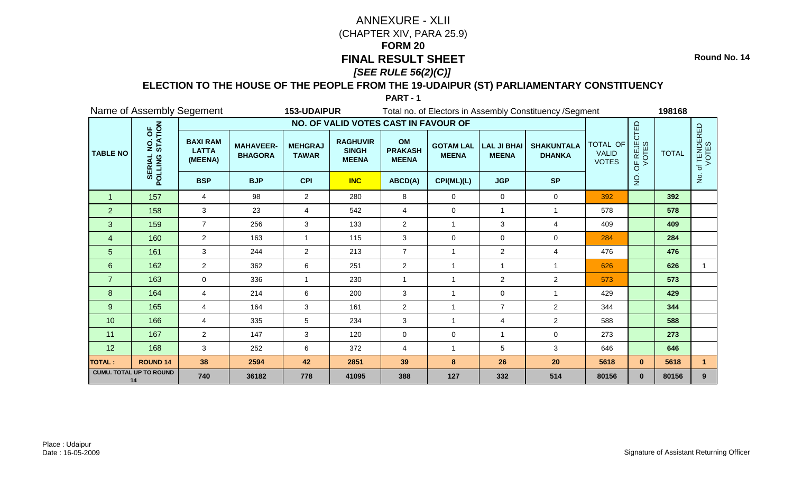**Round No. 14**

### **ELECTION TO THE HOUSE OF THE PEOPLE FROM THE 19-UDAIPUR (ST) PARLIAMENTARY CONSTITUENCY**

|                                      | Name of Assembly Segement                     |                                            |                                    | 153-UDAIPUR                    |                                                 |                                      | Total no. of Electors in Assembly Constituency / Segment | 198168                             |                                    |                                          |                                        |              |                               |
|--------------------------------------|-----------------------------------------------|--------------------------------------------|------------------------------------|--------------------------------|-------------------------------------------------|--------------------------------------|----------------------------------------------------------|------------------------------------|------------------------------------|------------------------------------------|----------------------------------------|--------------|-------------------------------|
|                                      |                                               |                                            |                                    |                                |                                                 |                                      |                                                          |                                    |                                    |                                          |                                        |              |                               |
| <b>TABLE NO</b>                      | NO. OF<br>STATION<br><b>SERIAL</b><br>POLLING | <b>BAXI RAM</b><br><b>LATTA</b><br>(MEENA) | <b>MAHAVEER-</b><br><b>BHAGORA</b> | <b>MEHGRAJ</b><br><b>TAWAR</b> | <b>RAGHUVIR</b><br><b>SINGH</b><br><b>MEENA</b> | OM<br><b>PRAKASH</b><br><b>MEENA</b> | <b>GOTAM LAL</b><br><b>MEENA</b>                         | <b>LAL JI BHAI</b><br><b>MEENA</b> | <b>SHAKUNTALA</b><br><b>DHANKA</b> | TOTAL OF<br><b>VALID</b><br><b>VOTES</b> | JF REJECTED<br>VOTES<br>$\overline{6}$ | <b>TOTAL</b> | f TENDERED<br>VOTES<br>ء<br>ح |
|                                      |                                               | <b>BSP</b>                                 | <b>BJP</b>                         | <b>CPI</b>                     | <b>INC</b>                                      | ABCD(A)                              | CPI(ML)(L)                                               | <b>JGP</b>                         | <b>SP</b>                          |                                          | $\frac{1}{2}$                          |              |                               |
| 1                                    | 157                                           | 4                                          | 98                                 | 2                              | 280                                             | 8                                    | 0                                                        | 0                                  | $\mathbf 0$                        | 392                                      |                                        | 392          |                               |
| $\overline{2}$                       | 158                                           | 3                                          | 23                                 | 4                              | 542                                             | 4                                    | 0                                                        | 1                                  | -1                                 | 578                                      |                                        | 578          |                               |
| 3                                    | 159                                           | $\overline{7}$                             | 256                                | 3                              | 133                                             | $\overline{c}$                       | 1                                                        | 3                                  | $\overline{4}$                     | 409                                      |                                        | 409          |                               |
| $\overline{4}$                       | 160                                           | $\overline{2}$                             | 163                                |                                | 115                                             | 3                                    | 0                                                        | 0                                  | 0                                  | 284                                      |                                        | 284          |                               |
| $\overline{5}$                       | 161                                           | 3                                          | 244                                | $\overline{2}$                 | 213                                             | $\overline{7}$                       |                                                          | $\overline{2}$                     | $\overline{4}$                     | 476                                      |                                        | 476          |                               |
| $\,6\,$                              | 162                                           | $\overline{2}$                             | 362                                | 6                              | 251                                             | $\overline{c}$                       |                                                          | $\mathbf 1$                        |                                    | 626                                      |                                        | 626          | 1.                            |
| $\overline{7}$                       | 163                                           | $\Omega$                                   | 336                                | $\overline{1}$                 | 230                                             | $\mathbf 1$                          | $\overline{1}$                                           | $\overline{2}$                     | $\overline{2}$                     | 573                                      |                                        | 573          |                               |
| 8                                    | 164                                           | 4                                          | 214                                | 6                              | 200                                             | 3                                    |                                                          | 0                                  | -1                                 | 429                                      |                                        | 429          |                               |
| $9\,$                                | 165                                           | $\overline{4}$                             | 164                                | $\mathbf{3}$                   | 161                                             | $\overline{2}$                       | $\overline{1}$                                           | $\overline{7}$                     | 2                                  | 344                                      |                                        | 344          |                               |
| 10                                   | 166                                           | $\overline{4}$                             | 335                                | 5                              | 234                                             | $\mathbf{3}$                         | $\overline{1}$                                           | 4                                  | $\overline{2}$                     | 588                                      |                                        | 588          |                               |
| 11                                   | 167                                           | $\overline{2}$                             | 147                                | 3                              | 120                                             | $\mathbf 0$                          | 0                                                        | 1                                  | $\mathbf 0$                        | 273                                      |                                        | 273          |                               |
| 12                                   | 168                                           | 3                                          | 252                                | 6                              | 372                                             | 4                                    |                                                          | 5                                  | 3                                  | 646                                      |                                        | 646          |                               |
| <b>TOTAL:</b>                        | <b>ROUND 14</b>                               | 38                                         | 2594                               | 42                             | 2851                                            | 39                                   | 8                                                        | 26                                 | 20                                 | 5618                                     | $\mathbf{0}$                           | 5618         |                               |
| <b>CUMU. TOTAL UP TO ROUND</b><br>14 |                                               | 740                                        | 36182                              | 778                            | 41095                                           | 388                                  | 127                                                      | 332                                | 514                                | 80156                                    | $\mathbf{0}$                           | 80156        | 9                             |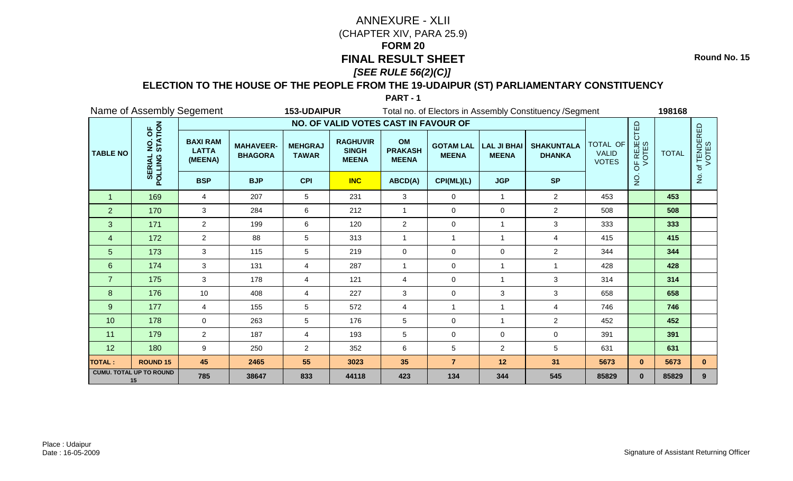**Round No. 15**

### **ELECTION TO THE HOUSE OF THE PEOPLE FROM THE 19-UDAIPUR (ST) PARLIAMENTARY CONSTITUENCY**

| Name of Assembly Segement            |                                               |                                            |                                    | 153-UDAIPUR                    |                                                 |                                      | Total no. of Electors in Assembly Constituency / Segment |                                    |                                    | 198168                                   |                      |              |                                       |
|--------------------------------------|-----------------------------------------------|--------------------------------------------|------------------------------------|--------------------------------|-------------------------------------------------|--------------------------------------|----------------------------------------------------------|------------------------------------|------------------------------------|------------------------------------------|----------------------|--------------|---------------------------------------|
|                                      |                                               | NO. OF VALID VOTES CAST IN FAVOUR OF       |                                    |                                |                                                 |                                      |                                                          |                                    |                                    |                                          |                      |              |                                       |
| <b>TABLE NO</b>                      | NO. OF<br>STATION<br><b>SERIAL</b><br>POLLING | <b>BAXI RAM</b><br><b>LATTA</b><br>(MEENA) | <b>MAHAVEER-</b><br><b>BHAGORA</b> | <b>MEHGRAJ</b><br><b>TAWAR</b> | <b>RAGHUVIR</b><br><b>SINGH</b><br><b>MEENA</b> | OM<br><b>PRAKASH</b><br><b>MEENA</b> | <b>GOTAM LAL</b><br><b>MEENA</b>                         | <b>LAL JI BHAI</b><br><b>MEENA</b> | <b>SHAKUNTALA</b><br><b>DHANKA</b> | TOTAL OF<br><b>VALID</b><br><b>VOTES</b> | OF REJECTED<br>VOTES | <b>TOTAL</b> | of TENDERED<br>VOTES<br>$\frac{1}{2}$ |
|                                      |                                               | <b>BSP</b>                                 | <b>BJP</b>                         | <b>CPI</b>                     | <b>INC</b>                                      | ABCD(A)                              | CPI(ML)(L)                                               | <b>JGP</b>                         | <b>SP</b>                          |                                          | $\frac{1}{2}$        |              |                                       |
| $\mathbf 1$                          | 169                                           | 4                                          | 207                                | 5                              | 231                                             | 3                                    | $\mathbf 0$                                              | 1                                  | $\overline{2}$                     | 453                                      |                      | 453          |                                       |
| $\overline{2}$                       | 170                                           | 3                                          | 284                                | 6                              | 212                                             | $\mathbf{1}$                         | 0                                                        | 0                                  | $\overline{2}$                     | 508                                      |                      | 508          |                                       |
| 3                                    | 171                                           | $\overline{2}$                             | 199                                | 6                              | 120                                             | $\overline{2}$                       | $\pmb{0}$                                                | 1                                  | $\mathbf{3}$                       | 333                                      |                      | 333          |                                       |
| 4                                    | 172                                           | $\overline{2}$                             | 88                                 | 5                              | 313                                             | $\mathbf{1}$                         | 1                                                        | 1                                  | 4                                  | 415                                      |                      | 415          |                                       |
| 5                                    | 173                                           | 3                                          | 115                                | 5                              | 219                                             | $\mathbf 0$                          | $\mathbf 0$                                              | $\mathbf 0$                        | $\overline{2}$                     | 344                                      |                      | 344          |                                       |
| $6\phantom{1}$                       | 174                                           | 3                                          | 131                                | 4                              | 287                                             | $\mathbf{1}$                         | $\mathbf 0$                                              | 1                                  | $\overline{1}$                     | 428                                      |                      | 428          |                                       |
| $\overline{7}$                       | 175                                           | 3                                          | 178                                | 4                              | 121                                             | 4                                    | 0                                                        | 1                                  | 3                                  | 314                                      |                      | 314          |                                       |
| 8                                    | 176                                           | 10                                         | 408                                | 4                              | 227                                             | 3                                    | $\mathbf 0$                                              | 3                                  | 3                                  | 658                                      |                      | 658          |                                       |
| 9                                    | 177                                           | $\overline{4}$                             | 155                                | 5                              | 572                                             | $\overline{4}$                       | 1                                                        | 1                                  | $\overline{4}$                     | 746                                      |                      | 746          |                                       |
| 10                                   | 178                                           | $\mathbf 0$                                | 263                                | 5                              | 176                                             | 5                                    | 0                                                        | 1                                  | $\overline{2}$                     | 452                                      |                      | 452          |                                       |
| 11                                   | 179                                           | $\overline{2}$                             | 187                                | 4                              | 193                                             | 5                                    | 0                                                        | $\pmb{0}$                          | $\pmb{0}$                          | 391                                      |                      | 391          |                                       |
| 12                                   | 180                                           | 9                                          | 250                                | $\overline{2}$                 | 352                                             | 6                                    | 5                                                        | $\overline{2}$                     | $5\phantom{.0}$                    | 631                                      |                      | 631          |                                       |
| <b>TOTAL:</b>                        | <b>ROUND 15</b>                               | 45                                         | 2465                               | 55                             | 3023                                            | 35                                   | $\overline{7}$                                           | 12                                 | 31                                 | 5673                                     | $\mathbf{0}$         | 5673         | $\mathbf{0}$                          |
| <b>CUMU. TOTAL UP TO ROUND</b><br>15 |                                               | 785                                        | 38647                              | 833                            | 44118                                           | 423                                  | 134                                                      | 344                                | 545                                | 85829                                    | $\mathbf{0}$         | 85829        | 9                                     |